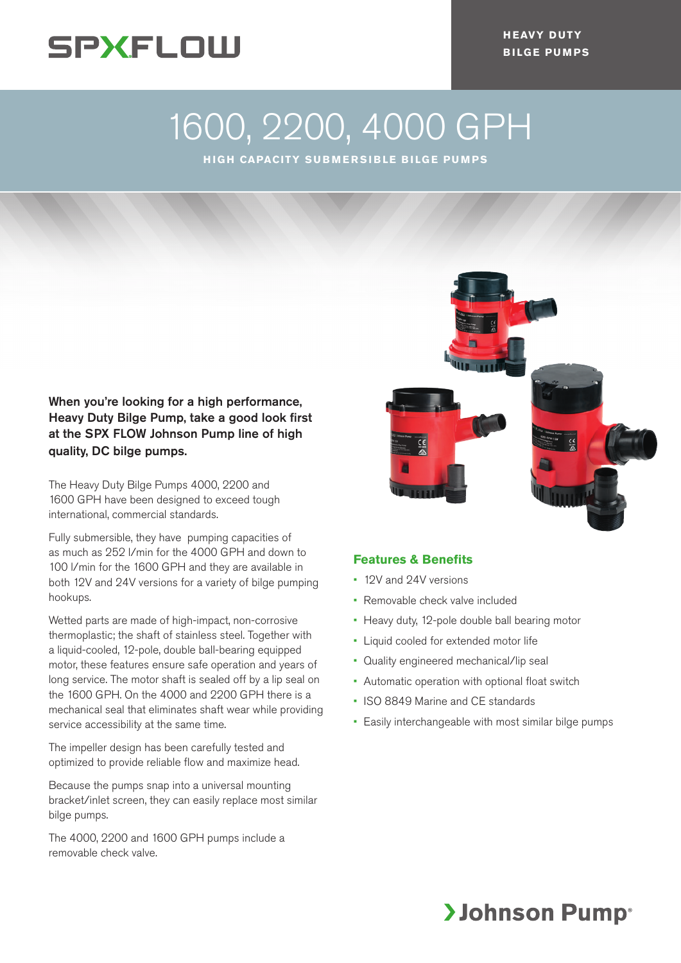

**HEAVY DUTY BILGE PUMPS**

# 1600, 2200, 4000 GPH

**HIGH CAPACITY SUBMERSIBLE BILGE PUMPS**

## When you're looking for a high performance, Heavy Duty Bilge Pump, take a good look first at the SPX FLOW Johnson Pump line of high quality, DC bilge pumps.

The Heavy Duty Bilge Pumps 4000, 2200 and 1600 GPH have been designed to exceed tough international, commercial standards.

Fully submersible, they have pumping capacities of as much as 252 l/min for the 4000 GPH and down to 100 l/min for the 1600 GPH and they are available in both 12V and 24V versions for a variety of bilge pumping hookups.

Wetted parts are made of high-impact, non-corrosive thermoplastic; the shaft of stainless steel. Together with a liquid-cooled, 12-pole, double ball-bearing equipped motor, these features ensure safe operation and years of long service. The motor shaft is sealed off by a lip seal on the 1600 GPH. On the 4000 and 2200 GPH there is a mechanical seal that eliminates shaft wear while providing service accessibility at the same time.

The impeller design has been carefully tested and optimized to provide reliable flow and maximize head.

Because the pumps snap into a universal mounting bracket/inlet screen, they can easily replace most similar bilge pumps.

The 4000, 2200 and 1600 GPH pumps include a removable check valve.



### **Features & Benefits**

- 12V and 24V versions
- Removable check valve included
- Heavy duty, 12-pole double ball bearing motor
- Liquid cooled for extended motor life
- Quality engineered mechanical/lip seal
- Automatic operation with optional float switch
- ISO 8849 Marine and CE standards
- Easily interchangeable with most similar bilge pumps

# **>Johnson Pump**®